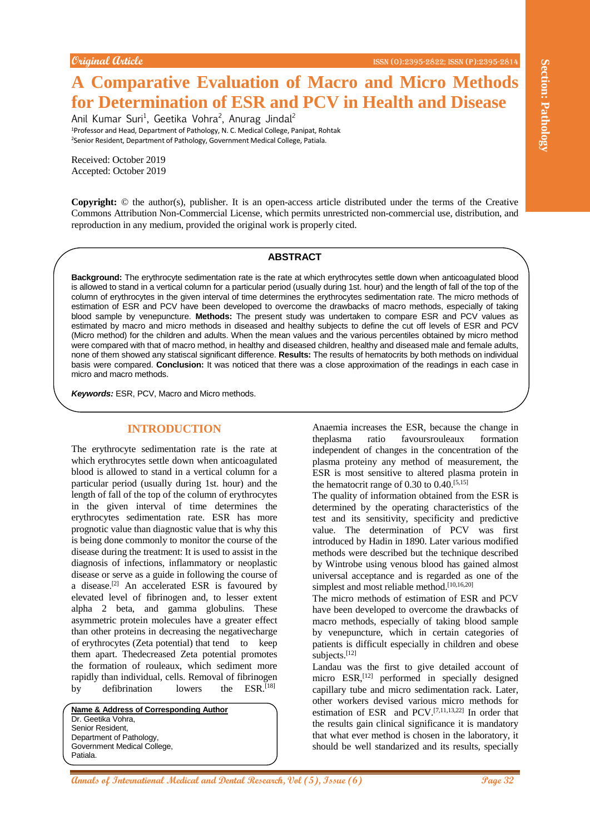# **A Comparative Evaluation of Macro and Micro Methods for Determination of ESR and PCV in Health and Disease**

Anil Kumar Suri<sup>1</sup>, Geetika Vohra<sup>2</sup>, Anurag Jindal<sup>2</sup> <sup>1</sup>Professor and Head, Department of Pathology, N. C. Medical College, Panipat, Rohtak <sup>2</sup>Senior Resident, Department of Pathology, Government Medical College, Patiala.

Received: October 2019 Accepted: October 2019

**Copyright:** © the author(s), publisher. It is an open-access article distributed under the terms of the Creative Commons Attribution Non-Commercial License, which permits unrestricted non-commercial use, distribution, and reproduction in any medium, provided the original work is properly cited.

#### **ABSTRACT**

**Background:** The erythrocyte sedimentation rate is the rate at which erythrocytes settle down when anticoagulated blood is allowed to stand in a vertical column for a particular period (usually during 1st. hour) and the length of fall of the top of the column of erythrocytes in the given interval of time determines the erythrocytes sedimentation rate. The micro methods of estimation of ESR and PCV have been developed to overcome the drawbacks of macro methods, especially of taking blood sample by venepuncture. **Methods:** The present study was undertaken to compare ESR and PCV values as estimated by macro and micro methods in diseased and healthy subjects to define the cut off levels of ESR and PCV (Micro method) for the children and adults. When the mean values and the various percentiles obtained by micro method were compared with that of macro method, in healthy and diseased children, healthy and diseased male and female adults, none of them showed any statiscal significant difference. **Results:** The results of hematocrits by both methods on individual basis were compared. **Conclusion:** It was noticed that there was a close approximation of the readings in each case in micro and macro methods.

*Keywords:* ESR, PCV, Macro and Micro methods.

# **INTRODUCTION**

**Andre and the section is the section of Medical and PICV in Health and Discusse (8)**<br> **An Comparative Evaluation of FSR and PCV in Health and Discusse (8)**<br>
Method was shown with the section of FSR and PCV in Health and D The erythrocyte sedimentation rate is the rate at which erythrocytes settle down when anticoagulated blood is allowed to stand in a vertical column for a particular period (usually during 1st. hour) and the length of fall of the top of the column of erythrocytes in the given interval of time determines the erythrocytes sedimentation rate. ESR has more prognotic value than diagnostic value that is why this is being done commonly to monitor the course of the disease during the treatment: It is used to assist in the diagnosis of infections, inflammatory or neoplastic disease or serve as a guide in following the course of a disease.[2] An accelerated ESR is favoured by elevated level of fibrinogen and, to lesser extent alpha 2 beta, and gamma globulins. These asymmetric protein molecules have a greater effect than other proteins in decreasing the negativecharge of erythrocytes (Zeta potential) that tend to keep them apart. Thedecreased Zeta potential promotes the formation of rouleaux, which sediment more rapidly than individual, cells. Removal of fibrinogen by defibrination lowers the ESR.<sup>[18]</sup>

**Name & Address of Corresponding Author** Dr. Geetika Vohra, Senior Resident, Department of Pathology, Government Medical College, Patiala.

Anaemia increases the ESR, because the change in theplasma ratio favoursrouleaux formation independent of changes in the concentration of the plasma proteiny any method of measurement, the ESR is most sensitive to altered plasma protein in the hematocrit range of 0.30 to  $0.40^{[5,15]}$ 

The quality of information obtained from the ESR is determined by the operating characteristics of the test and its sensitivity, specificity and predictive value. The determination of PCV was first introduced by Hadin in 1890. Later various modified methods were described but the technique described by Wintrobe using venous blood has gained almost universal acceptance and is regarded as one of the simplest and most reliable method.<sup>[10,16,20]</sup>

The micro methods of estimation of ESR and PCV have been developed to overcome the drawbacks of macro methods, especially of taking blood sample by venepuncture, which in certain categories of patients is difficult especially in children and obese subjects.<sup>[12]</sup>

Landau was the first to give detailed account of micro ESR,<sup>[12]</sup> performed in specially designed capillary tube and micro sedimentation rack. Later, other workers devised various micro methods for estimation of ESR and PCV.[7,11,13,22] In order that the results gain clinical significance it is mandatory that what ever method is chosen in the laboratory, it should be well standarized and its results, specially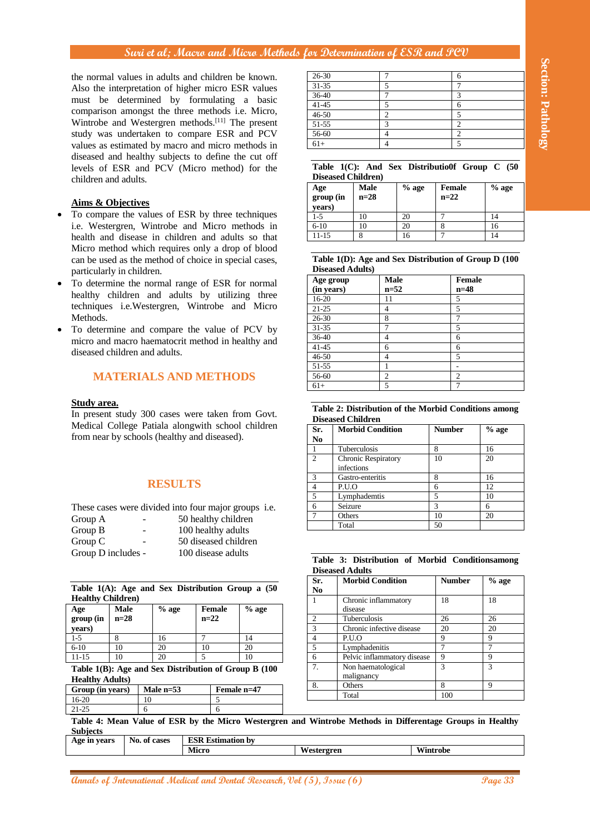#### **Aims & Objectives**

- To compare the values of ESR by three techniques i.e. Westergren, Wintrobe and Micro methods in health and disease in children and adults so that Micro method which requires only a drop of blood can be used as the method of choice in special cases, particularly in children.
- To determine the normal range of ESR for normal healthy children and adults by utilizing three techniques i.e.Westergren, Wintrobe and Micro Methods.
- To determine and compare the value of PCV by micro and macro haematocrit method in healthy and diseased children and adults.

## **MATERIALS AND METHODS**

#### **Study area.**

## **RESULTS**

| Group A<br>-                        | 50 healthy children  |
|-------------------------------------|----------------------|
| Group B<br>$\overline{\phantom{a}}$ | 100 healthy adults   |
| Group C<br>$\overline{\phantom{a}}$ | 50 diseased children |
| Group D includes -                  | 100 disease adults   |

|                           |  |  | Table $1(A)$ : Age and Sex Distribution Group a $(50)$ |  |  |
|---------------------------|--|--|--------------------------------------------------------|--|--|
| <b>Healthy Children</b> ) |  |  |                                                        |  |  |

| Age<br>group (in<br>vears) | <b>Male</b><br>$n=28$ | $%$ age | <b>Female</b><br>$n=22$ | $%$ age |
|----------------------------|-----------------------|---------|-------------------------|---------|
| $1-5$                      |                       | 16      |                         | 14      |
| $6-10$                     | 10                    |         |                         | 20      |
| 11-15                      | 10                    |         |                         | 10      |

| $26-30$   |  |
|-----------|--|
| $31 - 35$ |  |
| $36-40$   |  |
| $41 - 45$ |  |
| $46 - 50$ |  |
| 51-55     |  |
| 56-60     |  |
| $61+$     |  |

#### **Table 1(C): And Sex Distributio0f Group C (50 Diseased Children)**

| Age<br>group (in<br>years) | Male<br>$n=28$ | $%$ age | <b>Female</b><br>$n=22$ | $%$ age |
|----------------------------|----------------|---------|-------------------------|---------|
| $1-5$                      |                | 20      |                         | 14      |
| $6-10$                     |                | 20      |                         | 16      |
| 11-15                      |                | 16      |                         | 14      |

**Table 1(D): Age and Sex Distribution of Group D (100 Diseased Adults)**

| Age group  | <b>Male</b>    | <b>Female</b> |
|------------|----------------|---------------|
| (in years) | $n=52$         | $n=48$        |
| 16-20      | 11             | 5             |
| $21 - 25$  | 4              | 5             |
| $26 - 30$  | 8              | 7             |
| $31 - 35$  | 7              | 5             |
| 36-40      | 4              | 6             |
| $41 - 45$  | 6              | 6             |
| $46 - 50$  | 4              | 5             |
| 51-55      |                |               |
| 56-60      | $\mathfrak{2}$ | 2             |
| $61+$      | 5              | 7             |

| Table 2: Distribution of the Morbid Conditions among |  |  |
|------------------------------------------------------|--|--|
| <b>Diseased Children</b>                             |  |  |

| Sr.            | <b>Morbid Condition</b>    | <b>Number</b> | $%$ age |
|----------------|----------------------------|---------------|---------|
| N <sub>0</sub> |                            |               |         |
|                | Tuberculosis               | 8             | 16      |
| $\mathfrak{D}$ | <b>Chronic Respiratory</b> | 10            | 20      |
|                | infections                 |               |         |
| 3              | Gastro-enteritis           | 8             | 16      |
|                | P.U.O                      | 6             | 12      |
| 5              | Lymphademtis               | 5             | 10      |
| 6              | Seizure                    | 3             | 6       |
|                | Others                     | 10            | 20      |
|                | Total                      | 50            |         |

|                        |  |  | Table 3: Distribution of Morbid Conditionsamong |
|------------------------|--|--|-------------------------------------------------|
| <b>Diseased Adults</b> |  |  |                                                 |

|                                                                                                                                                                                                                                                                                    |        |              |                |              |                              | the normal values in adults and children be known.                                                        | $26 - 30$                                  |                        |                                                                | 7                   |                             |                   | 6                             |                                                      |
|------------------------------------------------------------------------------------------------------------------------------------------------------------------------------------------------------------------------------------------------------------------------------------|--------|--------------|----------------|--------------|------------------------------|-----------------------------------------------------------------------------------------------------------|--------------------------------------------|------------------------|----------------------------------------------------------------|---------------------|-----------------------------|-------------------|-------------------------------|------------------------------------------------------|
|                                                                                                                                                                                                                                                                                    |        |              |                |              |                              | Also the interpretation of higher micro ESR values                                                        | 31-35<br>36-40                             |                        |                                                                | 5<br>$\overline{7}$ |                             |                   | $\overline{7}$<br>3           |                                                      |
|                                                                                                                                                                                                                                                                                    |        |              |                |              |                              | must be determined by formulating a basic                                                                 | $41 - 45$                                  |                        |                                                                | 5                   |                             |                   | 6                             |                                                      |
|                                                                                                                                                                                                                                                                                    |        |              |                |              |                              | comparison amongst the three methods i.e. Micro,                                                          | 46-50                                      |                        |                                                                | $\overline{2}$      |                             |                   | 5                             |                                                      |
|                                                                                                                                                                                                                                                                                    |        |              |                |              |                              | Wintrobe and Westergren methods. <sup>[11]</sup> The present                                              | 51-55                                      |                        |                                                                | 3                   |                             |                   | $\boldsymbol{2}$              |                                                      |
|                                                                                                                                                                                                                                                                                    |        |              |                |              |                              | study was undertaken to compare ESR and PCV                                                               | 56-60                                      |                        |                                                                | $\overline{4}$      |                             |                   | $\overline{2}$                |                                                      |
|                                                                                                                                                                                                                                                                                    |        |              |                |              |                              | values as estimated by macro and micro methods in                                                         | $61+$                                      |                        |                                                                | $\overline{4}$      |                             |                   | 5                             |                                                      |
|                                                                                                                                                                                                                                                                                    |        |              |                |              |                              | diseased and healthy subjects to define the cut off                                                       |                                            |                        |                                                                |                     |                             |                   |                               |                                                      |
| children and adults.                                                                                                                                                                                                                                                               |        |              |                |              |                              | levels of ESR and PCV (Micro method) for the                                                              |                                            |                        | <b>Diseased Children)</b>                                      |                     |                             |                   |                               | Table 1(C): And Sex Distributio0f Group C (50        |
|                                                                                                                                                                                                                                                                                    |        |              |                |              |                              |                                                                                                           | Age                                        |                        | Male                                                           |                     | $%$ age                     |                   | Female                        | $%$ age                                              |
| <b>Aims &amp; Objectives</b>                                                                                                                                                                                                                                                       |        |              |                |              |                              |                                                                                                           | group (in                                  |                        | $n=28$                                                         |                     |                             | $n=22$            |                               |                                                      |
|                                                                                                                                                                                                                                                                                    |        |              |                |              |                              | To compare the values of ESR by three techniques                                                          | years)                                     |                        |                                                                |                     |                             |                   |                               |                                                      |
|                                                                                                                                                                                                                                                                                    |        |              |                |              |                              | i.e. Westergren, Wintrobe and Micro methods in                                                            | $1-5$<br>$6 - 10$                          |                        | 10<br>10                                                       |                     | 20<br>20                    | $\tau$<br>8       |                               | 14<br>16                                             |
|                                                                                                                                                                                                                                                                                    |        |              |                |              |                              | health and disease in children and adults so that                                                         | $11 - 15$                                  |                        | 8                                                              |                     | 16                          | $\overline{7}$    |                               | 14                                                   |
|                                                                                                                                                                                                                                                                                    |        |              |                |              |                              |                                                                                                           |                                            |                        |                                                                |                     |                             |                   |                               |                                                      |
|                                                                                                                                                                                                                                                                                    |        |              |                |              |                              | Micro method which requires only a drop of blood                                                          |                                            |                        |                                                                |                     |                             |                   |                               | Table 1(D): Age and Sex Distribution of Group D (100 |
|                                                                                                                                                                                                                                                                                    |        |              |                |              |                              | can be used as the method of choice in special cases,                                                     |                                            |                        | <b>Diseased Adults)</b>                                        |                     |                             |                   |                               |                                                      |
| particularly in children.                                                                                                                                                                                                                                                          |        |              |                |              |                              |                                                                                                           | Age group                                  |                        |                                                                | <b>Male</b>         |                             |                   | <b>Female</b>                 |                                                      |
|                                                                                                                                                                                                                                                                                    |        |              |                |              |                              | To determine the normal range of ESR for normal                                                           | (in years)                                 |                        |                                                                | $n=52$              |                             |                   | $n=48$                        |                                                      |
|                                                                                                                                                                                                                                                                                    |        |              |                |              |                              | healthy children and adults by utilizing three                                                            | $16 - 20$                                  |                        |                                                                | 11                  |                             |                   | 5                             |                                                      |
|                                                                                                                                                                                                                                                                                    |        |              |                |              |                              | techniques i.e. Westergren, Wintrobe and Micro                                                            | $21 - 25$                                  |                        |                                                                | $\overline{4}$      |                             |                   | 5                             |                                                      |
| Methods.                                                                                                                                                                                                                                                                           |        |              |                |              |                              |                                                                                                           | $26 - 30$                                  |                        |                                                                | 8                   |                             |                   | $\overline{7}$                |                                                      |
|                                                                                                                                                                                                                                                                                    |        |              |                |              |                              | To determine and compare the value of PCV by                                                              | 31-35                                      |                        |                                                                | $\overline{7}$      |                             |                   | 5                             |                                                      |
|                                                                                                                                                                                                                                                                                    |        |              |                |              |                              | micro and macro haematocrit method in healthy and                                                         | 36-40                                      |                        |                                                                | $\overline{4}$      |                             |                   | 6                             |                                                      |
| diseased children and adults.                                                                                                                                                                                                                                                      |        |              |                |              |                              |                                                                                                           | $41 - 45$                                  |                        |                                                                | 6                   |                             |                   | 6                             |                                                      |
|                                                                                                                                                                                                                                                                                    |        |              |                |              |                              |                                                                                                           | $46 - 50$<br>51-55                         |                        |                                                                | $\overline{4}$<br>1 |                             |                   | 5<br>$\overline{\phantom{a}}$ |                                                      |
|                                                                                                                                                                                                                                                                                    |        |              |                |              | <b>MATERIALS AND METHODS</b> |                                                                                                           | $56-60$                                    |                        |                                                                | $\overline{2}$      |                             |                   | $\overline{2}$                |                                                      |
|                                                                                                                                                                                                                                                                                    |        |              |                |              |                              |                                                                                                           | $61+$                                      |                        |                                                                | 5                   |                             |                   | $\overline{7}$                |                                                      |
|                                                                                                                                                                                                                                                                                    |        |              |                |              |                              |                                                                                                           | No.<br>$\mathbf{1}$                        |                        | Tuberculosis                                                   |                     |                             | 8                 |                               | 16                                                   |
|                                                                                                                                                                                                                                                                                    |        |              | <b>RESULTS</b> |              |                              |                                                                                                           | $\overline{2}$<br>3<br>$\overline{4}$<br>5 | infections<br>P.U.O    | <b>Chronic Respiratory</b><br>Gastro-enteritis<br>Lymphademtis |                     |                             | 10<br>8<br>6<br>5 |                               | 20<br>16<br>12<br>10                                 |
|                                                                                                                                                                                                                                                                                    |        |              |                |              |                              | These cases were divided into four major groups i.e.                                                      | 6<br>$\overline{7}$                        | Seizure<br>Others      |                                                                |                     |                             | 3<br>10           |                               | 6<br>20                                              |
|                                                                                                                                                                                                                                                                                    |        |              |                |              | 50 healthy children          |                                                                                                           |                                            | Total                  |                                                                |                     |                             | 50                |                               |                                                      |
|                                                                                                                                                                                                                                                                                    |        |              |                |              | 100 healthy adults           |                                                                                                           |                                            |                        |                                                                |                     |                             |                   |                               |                                                      |
|                                                                                                                                                                                                                                                                                    |        |              |                |              | 50 diseased children         |                                                                                                           |                                            |                        |                                                                |                     |                             |                   |                               |                                                      |
|                                                                                                                                                                                                                                                                                    |        |              |                |              | 100 disease adults           |                                                                                                           |                                            | <b>Diseased Adults</b> |                                                                |                     |                             |                   |                               | Table 3: Distribution of Morbid Conditionsamong      |
|                                                                                                                                                                                                                                                                                    |        |              |                |              |                              | Table 1(A): Age and Sex Distribution Group a (50                                                          | Sr.<br>N <sub>0</sub>                      |                        | <b>Morbid Condition</b>                                        |                     |                             |                   | <b>Number</b>                 | $%$ age                                              |
|                                                                                                                                                                                                                                                                                    |        |              |                |              |                              |                                                                                                           | 1                                          |                        | Chronic inflammatory                                           |                     |                             | 18                |                               | 18                                                   |
|                                                                                                                                                                                                                                                                                    | Male   |              | $\%$ age       |              | <b>Female</b>                | $%$ age                                                                                                   |                                            |                        | disease                                                        |                     |                             |                   |                               |                                                      |
|                                                                                                                                                                                                                                                                                    | $n=28$ |              |                |              | $n=22$                       |                                                                                                           | $\overline{\mathbf{c}}$                    |                        | Tuberculosis<br>Chronic infective disease                      |                     |                             | 26<br>20          |                               | 26<br>20                                             |
|                                                                                                                                                                                                                                                                                    | 8      |              | 16             | $\tau$       |                              | 14                                                                                                        | 3<br>$\overline{4}$                        | P.U.O                  |                                                                |                     |                             | 9                 |                               | 9                                                    |
|                                                                                                                                                                                                                                                                                    | 10     |              | 20             |              | 10                           | 20                                                                                                        | 5                                          |                        | Lymphadenitis                                                  |                     |                             | $\overline{7}$    |                               | 7                                                    |
|                                                                                                                                                                                                                                                                                    | 10     |              | 20             | 5            |                              | 10                                                                                                        | 6                                          |                        |                                                                |                     | Pelvic inflammatory disease | 9                 |                               | 9                                                    |
|                                                                                                                                                                                                                                                                                    |        |              |                |              |                              | Table 1(B): Age and Sex Distribution of Group B (100                                                      | 7.                                         |                        | Non haematological                                             |                     |                             | 3                 |                               | 3                                                    |
|                                                                                                                                                                                                                                                                                    |        |              |                |              |                              |                                                                                                           |                                            |                        | malignancy                                                     |                     |                             |                   |                               |                                                      |
|                                                                                                                                                                                                                                                                                    |        |              | Male n=53      |              | Female n=47                  |                                                                                                           | 8.                                         | Others                 |                                                                |                     |                             | 8                 |                               | 9                                                    |
|                                                                                                                                                                                                                                                                                    |        | 10           |                |              | 5                            |                                                                                                           |                                            | Total                  |                                                                |                     |                             | 100               |                               |                                                      |
|                                                                                                                                                                                                                                                                                    |        | 6            |                |              | 6                            |                                                                                                           |                                            |                        |                                                                |                     |                             |                   |                               |                                                      |
|                                                                                                                                                                                                                                                                                    |        |              |                |              |                              | Table 4: Mean Value of ESR by the Micro Westergren and Wintrobe Methods in Differentage Groups in Healthy |                                            |                        |                                                                |                     |                             |                   |                               |                                                      |
| from near by schools (healthy and diseased).<br>Group A<br>Group B<br>Group C<br>Group D includes -<br><b>Healthy Children)</b><br>Age<br>group (in<br>years)<br>$1-5$<br>$6 - 10$<br>$11 - 15$<br><b>Healthy Adults)</b><br>Group (in years)<br>16-20<br>21-25<br><u>Subjects</u> |        |              |                |              |                              |                                                                                                           |                                            |                        |                                                                |                     |                             |                   |                               |                                                      |
| Age in years                                                                                                                                                                                                                                                                       |        | No. of cases |                | <b>Micro</b> | <b>ESR</b> Estimation by     |                                                                                                           | Westergren                                 |                        |                                                                |                     | Wintrobe                    |                   |                               |                                                      |

| Age in years | NU.<br>, or cases<br>. . | , езишанон оу<br>LON |          |                      |
|--------------|--------------------------|----------------------|----------|----------------------|
|              |                          | Aicro                | $-$<br>. | <b>WW7-</b><br>~robe |
|              |                          |                      |          |                      |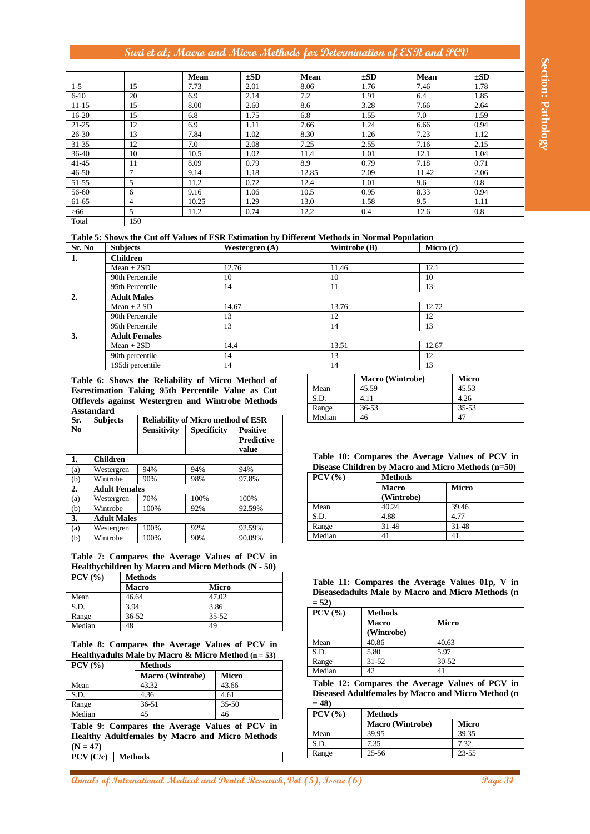|                                                                          |                   |                                     |                                                                                                                         | Mean               |           | $\pm SD$          | Mean          |              | $\pm SD$       |                  | Mean                     |                   | $\pm SD$                                           |
|--------------------------------------------------------------------------|-------------------|-------------------------------------|-------------------------------------------------------------------------------------------------------------------------|--------------------|-----------|-------------------|---------------|--------------|----------------|------------------|--------------------------|-------------------|----------------------------------------------------|
| $1-5$                                                                    |                   | 15                                  |                                                                                                                         | 7.73               |           | 2.01              | 8.06          |              | 1.76           |                  | 7.46                     |                   | 1.78                                               |
| $6 - 10$                                                                 |                   | 20                                  |                                                                                                                         | 6.9                |           | 2.14              | 7.2           |              | 1.91           |                  | 6.4                      |                   | 1.85                                               |
| $11 - 15$                                                                |                   | 15                                  |                                                                                                                         | 8.00               |           | 2.60              | 8.6           |              | 3.28           |                  | 7.66                     |                   | 2.64                                               |
| $16-20$<br>$21 - 25$                                                     |                   | 15<br>12                            |                                                                                                                         | 6.8<br>6.9         |           | 1.75<br>1.11      | 6.8<br>7.66   |              | 1.55<br>1.24   |                  | $\overline{7.0}$<br>6.66 |                   | 1.59<br>0.94                                       |
| $26 - 30$                                                                |                   | 13                                  |                                                                                                                         | 7.84               |           | 1.02              | 8.30          |              | 1.26           |                  | 7.23                     |                   | 1.12                                               |
| 31-35                                                                    |                   | 12                                  |                                                                                                                         | 7.0                |           | 2.08              | 7.25          |              | 2.55           |                  | 7.16                     |                   | 2.15                                               |
| 36-40                                                                    |                   | 10                                  |                                                                                                                         | 10.5               |           | 1.02              | 11.4          |              | 1.01           |                  | 12.1                     |                   | 1.04                                               |
| $41 - 45$                                                                |                   | 11                                  |                                                                                                                         | 8.09               |           | 0.79              | 8.9           |              | 0.79           |                  | 7.18                     |                   | 0.71                                               |
| 46-50                                                                    |                   | 7                                   |                                                                                                                         | 9.14               |           | 1.18              | 12.85         |              | 2.09           |                  | 11.42                    |                   | 2.06                                               |
| $51-55$                                                                  |                   | 5                                   |                                                                                                                         | 11.2               |           | 0.72              | 12.4          |              | 1.01           |                  | 9.6                      |                   | 0.8                                                |
| 56-60                                                                    |                   | 6                                   |                                                                                                                         | 9.16               |           | 1.06              | 10.5          |              | 0.95           |                  | 8.33                     |                   | 0.94                                               |
| 61-65                                                                    |                   | $\overline{4}$                      |                                                                                                                         | 10.25              |           | 1.29              | 13.0          |              | 1.58           |                  | 9.5                      |                   | 1.11                                               |
| >66                                                                      |                   | 5                                   |                                                                                                                         | 11.2               |           | 0.74              | 12.2          |              | 0.4            |                  | 12.6                     |                   | 0.8                                                |
| Total                                                                    |                   | 150                                 |                                                                                                                         |                    |           |                   |               |              |                |                  |                          |                   |                                                    |
|                                                                          |                   |                                     | Table 5: Shows the Cut off Values of ESR Estimation by Different Methods in Normal Population                           |                    |           |                   |               |              |                |                  |                          |                   |                                                    |
| Sr. No                                                                   |                   | <b>Subjects</b>                     |                                                                                                                         |                    |           | Westergren $(A)$  |               | Wintrobe (B) |                |                  | Micro (c)                |                   |                                                    |
| 1.                                                                       |                   | <b>Children</b>                     |                                                                                                                         |                    |           |                   |               |              |                |                  |                          |                   |                                                    |
|                                                                          |                   | $Mean + 2SD$                        |                                                                                                                         |                    | 12.76     |                   |               | 11.46        |                |                  | 12.1                     |                   |                                                    |
|                                                                          |                   | 90th Percentile                     |                                                                                                                         |                    | 10        |                   |               | 10           |                |                  | 10                       |                   |                                                    |
|                                                                          |                   | 95th Percentile                     |                                                                                                                         |                    | 14        |                   |               | 11           |                |                  | 13                       |                   |                                                    |
|                                                                          |                   | <b>Adult Males</b><br>$Mean + 2 SD$ |                                                                                                                         |                    | 14.67     |                   |               | 13.76        |                |                  |                          |                   |                                                    |
|                                                                          |                   | 90th Percentile                     |                                                                                                                         |                    | 13        |                   |               | 12           |                |                  | 12.72<br>12              |                   |                                                    |
|                                                                          |                   | 95th Percentile                     |                                                                                                                         |                    | 13        |                   |               | 14           |                |                  | 13                       |                   |                                                    |
|                                                                          |                   | <b>Adult Females</b>                |                                                                                                                         |                    |           |                   |               |              |                |                  |                          |                   |                                                    |
| 3.                                                                       |                   | $Mean + 2SD$                        |                                                                                                                         |                    | 14.4      |                   |               | 13.51        |                |                  | 12.67                    |                   |                                                    |
|                                                                          |                   | 90th percentile                     |                                                                                                                         |                    | 14        |                   |               | 13           |                |                  | 12                       |                   |                                                    |
|                                                                          |                   | 195di percentile                    |                                                                                                                         |                    | 14        |                   |               | 14           |                |                  | 13                       |                   |                                                    |
|                                                                          |                   |                                     | Table 6: Shows the Reliability of Micro Method of                                                                       |                    |           |                   |               |              |                | Macro (Wintrobe) |                          | Micro             |                                                    |
|                                                                          |                   |                                     |                                                                                                                         |                    |           |                   |               |              | 45.59          |                  |                          | 45.53             |                                                    |
|                                                                          |                   |                                     |                                                                                                                         |                    |           |                   |               |              |                |                  |                          |                   |                                                    |
|                                                                          |                   |                                     | Esrestimation Taking 95th Percentile Value as Cut                                                                       |                    |           |                   | Mean          |              |                |                  |                          |                   |                                                    |
|                                                                          |                   |                                     | Offlevels against Westergren and Wintrobe Methods                                                                       |                    |           |                   | S.D.<br>Range |              | 4.11<br>36-53  |                  |                          | 4.26<br>$35 - 53$ |                                                    |
|                                                                          | <b>Asstandard</b> |                                     |                                                                                                                         |                    |           |                   | Median        |              | 46             |                  |                          | 47                |                                                    |
|                                                                          | <b>Subjects</b>   |                                     | <b>Reliability of Micro method of ESR</b>                                                                               |                    |           |                   |               |              |                |                  |                          |                   |                                                    |
|                                                                          |                   |                                     | <b>Sensitivity</b>                                                                                                      | <b>Specificity</b> |           | <b>Positive</b>   |               |              |                |                  |                          |                   |                                                    |
| Sr.<br>No                                                                |                   |                                     |                                                                                                                         |                    |           | <b>Predictive</b> |               |              |                |                  |                          |                   |                                                    |
|                                                                          | <b>Children</b>   |                                     |                                                                                                                         |                    |           | value             |               |              |                |                  |                          |                   | Table 10: Compares the Average Values of PCV in    |
|                                                                          | Westergren        |                                     | 94%                                                                                                                     | 94%                | 94%       |                   |               |              |                |                  |                          |                   | Disease Children by Macro and Micro Methods (n=50) |
|                                                                          | Wintrobe          |                                     | 90%                                                                                                                     | 98%                |           | 97.8%             |               | $PCV$ (%)    |                | <b>Methods</b>   |                          |                   |                                                    |
|                                                                          |                   | <b>Adult Females</b>                |                                                                                                                         |                    |           |                   |               |              |                | <b>Macro</b>     |                          | <b>Micro</b>      |                                                    |
|                                                                          | Westergren        |                                     | 70%                                                                                                                     | 100%               |           | 100%              |               |              |                | (Wintrobe)       |                          |                   |                                                    |
|                                                                          | Wintrobe          |                                     | 100%                                                                                                                    | 92%                |           | 92.59%            | Mean          |              |                | 40.24            |                          | 39.46             |                                                    |
|                                                                          |                   | <b>Adult Males</b>                  |                                                                                                                         |                    |           |                   | S.D.          |              |                | 4.88             |                          | 4.77              |                                                    |
|                                                                          | Westergren        |                                     | 100%                                                                                                                    | 92%                |           | 92.59%            | Range         |              |                | 31-49            |                          | 31-48             |                                                    |
|                                                                          | Wintrobe          |                                     | 100%                                                                                                                    | 90%                |           | 90.09%            | Median        |              |                | 41               |                          | 41                |                                                    |
|                                                                          | PCV (%)           |                                     | Table 7: Compares the Average Values of PCV in<br>Healthychildren by Macro and Micro Methods (N - 50)<br><b>Methods</b> |                    |           |                   |               |              |                |                  |                          |                   |                                                    |
|                                                                          |                   | <b>Macro</b>                        |                                                                                                                         |                    | Micro     |                   |               |              |                |                  |                          |                   | Table 11: Compares the Average Values 01p, V in    |
|                                                                          |                   | 46.64                               |                                                                                                                         |                    | 47.02     |                   |               |              |                |                  |                          |                   | Diseasedadults Male by Macro and Micro Methods (n  |
| 1.<br>(a)<br>(b)<br>2.<br>(a)<br>(b)<br>3.<br>(a)<br>(b)<br>Mean<br>S.D. |                   | 3.94                                |                                                                                                                         | 3.86               |           |                   | $= 52$        |              | <b>Methods</b> |                  |                          |                   |                                                    |
|                                                                          |                   | 36-52                               |                                                                                                                         |                    | 35-52     |                   |               | $PCV$ (%)    | <b>Macro</b>   |                  |                          | <b>Micro</b>      |                                                    |
|                                                                          |                   | 48                                  |                                                                                                                         | 49                 |           |                   |               |              |                | (Wintrobe)       |                          |                   |                                                    |
|                                                                          |                   |                                     | Table 8: Compares the Average Values of PCV in                                                                          |                    |           |                   | Mean          |              | 40.86          |                  |                          | 40.63             |                                                    |
|                                                                          |                   |                                     | Healthy adults Male by Macro & Micro Method $(n = 53)$                                                                  |                    |           |                   | S.D.          |              | 5.80           |                  | 5.97                     |                   |                                                    |
|                                                                          | $PCV$ $(\%)$      |                                     | <b>Methods</b>                                                                                                          |                    |           |                   | Range         |              | $31 - 52$      |                  |                          | 30-52             |                                                    |
|                                                                          |                   |                                     |                                                                                                                         |                    | Micro     |                   | Median        |              | 42             |                  | 41                       |                   |                                                    |
|                                                                          |                   |                                     | <b>Macro (Wintrobe)</b><br>43.32                                                                                        |                    | 43.66     |                   |               |              |                |                  |                          |                   | Table 12: Compares the Average Values of PCV in    |
|                                                                          |                   |                                     | 4.36                                                                                                                    |                    | 4.61      |                   |               |              |                |                  |                          |                   | Diseased Adultfemales by Macro and Micro Method (n |
|                                                                          |                   |                                     | 36-51                                                                                                                   |                    | $35 - 50$ |                   | $= 48$        |              |                |                  |                          |                   |                                                    |
|                                                                          |                   |                                     | 45                                                                                                                      |                    | 46        |                   |               | $PCV$ (%)    | <b>Methods</b> |                  |                          |                   |                                                    |
|                                                                          |                   |                                     |                                                                                                                         |                    |           |                   |               |              |                | Macro (Wintrobe) |                          | <b>Micro</b>      |                                                    |
| Range<br>Median<br>Mean<br>S.D.<br>Range<br>Median                       |                   |                                     | Table 9: Compares the Average Values of PCV in                                                                          |                    |           |                   | Mean          |              | 39.95          |                  |                          | 39.35             |                                                    |
|                                                                          | $(N = 47)$        |                                     | Healthy Adultfemales by Macro and Micro Methods                                                                         |                    |           |                   | S.D.          |              | 7.35<br>25-56  |                  |                          | 7.32<br>23-55     |                                                    |

#### **Table 5: Shows the Cut off Values of ESR Estimation by Different Methods in Normal Population**

| Sr. No | <b>Subjects</b>      | Table 9. Bhows the Cut on Values of EBR Estimation by Different Prethous in Formal I opination<br>Westergren $(A)$ | Wintrobe (B) | Micro (c) |
|--------|----------------------|--------------------------------------------------------------------------------------------------------------------|--------------|-----------|
| 1.     | <b>Children</b>      |                                                                                                                    |              |           |
|        | $Mean + 2SD$         | 12.76                                                                                                              | 11.46        | 12.1      |
|        | 90th Percentile      | 10                                                                                                                 | 10           | 10        |
|        | 95th Percentile      | 14                                                                                                                 | 11           | 13        |
| 2.     | <b>Adult Males</b>   |                                                                                                                    |              |           |
|        | Mean $+2SD$          | 14.67                                                                                                              | 13.76        | 12.72     |
|        | 90th Percentile      | 13                                                                                                                 | 12           | 12        |
|        | 95th Percentile      | 13                                                                                                                 | 14           | 13        |
| 3.     | <b>Adult Females</b> |                                                                                                                    |              |           |
|        | $Mean + 2SD$         | 14.4                                                                                                               | 13.51        | 12.67     |
|        | 90th percentile      | 14                                                                                                                 | 13           | 12        |
|        | 195di percentile     | 14                                                                                                                 | 14           | 13        |

| Sr. | <b>Subjects</b>      | <b>Reliability of Micro method of ESR</b> |                    |                                               |
|-----|----------------------|-------------------------------------------|--------------------|-----------------------------------------------|
| No  |                      | <b>Sensitivity</b>                        | <b>Specificity</b> | <b>Positive</b><br><b>Predictive</b><br>value |
| 1.  | <b>Children</b>      |                                           |                    |                                               |
| (a) | Westergren           | 94%                                       | 94%                | 94%                                           |
| (b) | Wintrobe             | 90%                                       | 98%                | 97.8%                                         |
| 2.  | <b>Adult Females</b> |                                           |                    |                                               |
| (a) | Westergren           | 70%                                       | 100%               | 100%                                          |
| (b) | Wintrobe             | 100%                                      | 92%                | 92.59%                                        |
| 3.  | <b>Adult Males</b>   |                                           |                    |                                               |
| (a) | Westergren           | 100%                                      | 92%                | 92.59%                                        |
| (b) | Wintrobe             | 100%                                      | 90%                | 90.09%                                        |

| $PCV$ $(\%)$ | <b>Methods</b> |              |
|--------------|----------------|--------------|
|              | <b>Macro</b>   | <b>Micro</b> |
| Mean         | 46.64          | 47.02        |
| S.D.         | 3.94           | 3.86         |
| Range        | $36 - 52$      | $35 - 52$    |
| Median       | 48             | 49           |

| $PCV$ $\left(\frac{9}{6}\right)$ | <b>Methods</b>          |              |
|----------------------------------|-------------------------|--------------|
|                                  | <b>Macro</b> (Wintrobe) | <b>Micro</b> |
| Mean                             | 43.32                   | 43.66        |
| S.D.                             | 4.36                    | 4.61         |
| Range                            | $36 - 51$               | $35 - 50$    |
| Median                           | 45                      | 46           |

|        | <b>Macro (Wintrobe)</b> | <b>Micro</b> |
|--------|-------------------------|--------------|
| Mean   | 45.59                   | 45.53        |
| S.D.   | 4.11                    | 4.26         |
| Range  | 36-53                   | $35 - 53$    |
| Median | 46                      | 47           |

#### **Table 10: Compares the Average Values of PCV in Disease Children by Macro and Micro Methods (n=50)**

| $PCV$ (%) | <b>Methods</b>             |              |  |
|-----------|----------------------------|--------------|--|
|           | <b>Macro</b><br>(Wintrobe) | <b>Micro</b> |  |
| Mean      | 40.24                      | 39.46        |  |
| S.D.      | 4.88                       | 4.77         |  |
| Range     | 31-49                      | 31-48        |  |
| Median    |                            |              |  |

| Table 11: Compares the Average Values 01p, V in   |  |
|---------------------------------------------------|--|
| Diseasedadults Male by Macro and Micro Methods (n |  |
| $= 52$                                            |  |

| $PCV$ (%) | <b>Methods</b>             |           |  |
|-----------|----------------------------|-----------|--|
|           | <b>Macro</b><br>(Wintrobe) | Micro     |  |
| Mean      | 40.86                      | 40.63     |  |
| S.D.      | 5.80                       | 5.97      |  |
| Range     | $31 - 52$                  | $30 - 52$ |  |
| Median    | 42                         | 41        |  |

| $PCV$ (%) | <b>Methods</b>          |       |
|-----------|-------------------------|-------|
|           | <b>Macro</b> (Wintrobe) | Micro |
| Mean      | 39.95                   | 39.35 |
| S.D.      | 7.35                    | 7.32  |
| Range     | $25 - 56$               | 23-55 |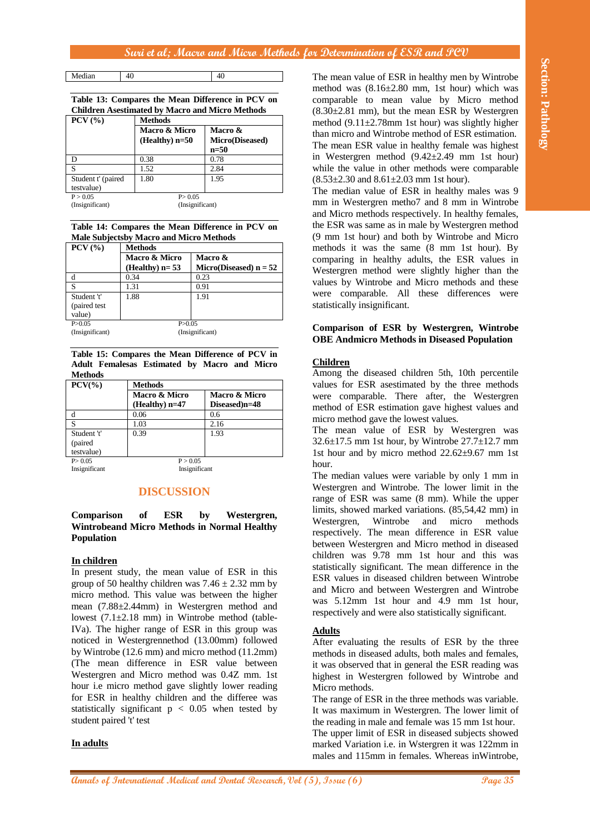Median 40 40

**Table 13: Compares the Mean Difference in PCV on Children Asestimated by Macro and Micro Methods**

| $PCV$ $(\%)$                     | <b>Methods</b>                    |                                      |
|----------------------------------|-----------------------------------|--------------------------------------|
|                                  | Macro & Micro<br>(Healthy) $n=50$ | Macro &<br>Micro(Diseased)<br>$n=50$ |
| D                                | 0.38                              | 0.78                                 |
| S                                | 1.52                              | 2.84                                 |
| Student t' (paired<br>testvalue) | 1.80                              | 1.95                                 |
| P > 0.05                         | P > 0.05                          |                                      |

(Insignificant) (Insignificant)

**Table 14: Compares the Mean Difference in PCV on Male Subjectsby Macro and Micro Methods**

| $PCV$ $(\%)$    | <b>Methods</b>   |                          |  |
|-----------------|------------------|--------------------------|--|
|                 | Macro & Micro    | <b>Macro &amp;</b>       |  |
|                 | (Healthy) $n=53$ | Micro(Diseased) $n = 52$ |  |
| d               | 0.34             | 0.23                     |  |
| S               | 1.31             | 0.91                     |  |
| Student 't'     | 1.88             | 1.91                     |  |
| (paired test    |                  |                          |  |
| value)          |                  |                          |  |
| P > 0.05        | P > 0.05         |                          |  |
| (Insignificant) | (Insignificant)  |                          |  |

**Table 15: Compares the Mean Difference of PCV in Adult Femalesas Estimated by Macro and Micro Methods**

| $PCV(\% )$    | <b>Methods</b>                    |                                |
|---------------|-----------------------------------|--------------------------------|
|               | Macro & Micro<br>$(Healthv)$ n=47 | Macro & Micro<br>Diseased)n=48 |
| d             | 0.06                              | 0.6                            |
| S             | 1.03                              | 2.16                           |
| Student 't'   | 0.39                              | 1.93                           |
| (paired       |                                   |                                |
| testvalue)    |                                   |                                |
| P > 0.05      | P > 0.05                          |                                |
| Insignificant | Insignificant                     |                                |

**DISCUSSION**

## **Comparison of ESR by Westergren, Wintrobeand Micro Methods in Normal Healthy Population**

## **In children**

**Anals of International Medical Annals of Dental Annals of Dental Research, Vol (5), Islam Schwarz in Eq. (5), Islam Schwarz in Eq. (5), Islam Schwarz in Eq. (5), Islam Schwarz in Eq. (5), Islam Schwarz in Eq. (5), Islam** In present study, the mean value of ESR in this group of 50 healthy children was  $7.46 \pm 2.32$  mm by micro method. This value was between the higher mean (7.88±2.44mm) in Westergren method and lowest (7.1±2.18 mm) in Wintrobe method (table-IVa). The higher range of ESR in this group was noticed in Westergrennethod (13.00mm) followed by Wintrobe (12.6 mm) and micro method (11.2mm) (The mean difference in ESR value between Westergren and Micro method was 0.4Z mm. 1st hour i.e micro method gave slightly lower reading for ESR in healthy children and the differee was statistically significant  $p < 0.05$  when tested by student paired 't' test

## **In adults**

The mean value of ESR in healthy men by Wintrobe method was  $(8.16\pm2.80$  mm, 1st hour) which was comparable to mean value by Micro method  $(8.30\pm2.81$  mm), but the mean ESR by Westergren method  $(9.11\pm2.78$ mm 1st hour) was slightly higher than micro and Wintrobe method of ESR estimation. The mean ESR value in healthy female was highest in Westergren method (9.42±2.49 mm 1st hour) while the value in other methods were comparable  $(8.53\pm2.30 \text{ and } 8.61\pm2.03 \text{ mm } 1 \text{st hour}).$ 

The median value of ESR in healthy males was 9 mm in Westergren metho7 and 8 mm in Wintrobe and Micro methods respectively. In healthy females, the ESR was same as in male by Westergren method (9 mm 1st hour) and both by Wintrobe and Micro methods it was the same (8 mm 1st hour). By comparing in healthy adults, the ESR values in Westergren method were slightly higher than the values by Wintrobe and Micro methods and these were comparable. All these differences were statistically insignificant.

#### **Comparison of ESR by Westergren, Wintrobe OBE Andmicro Methods in Diseased Population**

## **Children**

Among the diseased children 5th, 10th percentile values for ESR asestimated by the three methods were comparable. There after, the Westergren method of ESR estimation gave highest values and micro method gave the lowest values.

The mean value of ESR by Westergren was  $32.6\pm17.5$  mm 1st hour, by Wintrobe  $27.7\pm12.7$  mm 1st hour and by micro method 22.62±9.67 mm 1st hour.

The median values were variable by only 1 mm in Westergren and Wintrobe. The lower limit in the range of ESR was same (8 mm). While the upper limits, showed marked variations. (85,54,42 mm) in Westergren, Wintrobe and micro methods respectively. The mean difference in ESR value between Westergren and Micro method in diseased children was 9.78 mm 1st hour and this was statistically significant. The mean difference in the ESR values in diseased children between Wintrobe and Micro and between Westergren and Wintrobe was 5.12mm 1st hour and 4.9 mm 1st hour, respectively and were also statistically significant.

## **Adults**

After evaluating the results of ESR by the three methods in diseased adults, both males and females, it was observed that in general the ESR reading was highest in Westergren followed by Wintrobe and Micro methods.

The range of ESR in the three methods was variable. It was maximum in Westergren. The lower limit of the reading in male and female was 15 mm 1st hour. The upper limit of ESR in diseased subjects showed marked Variation i.e. in Wstergren it was 122mm in males and 115mm in females. Whereas inWintrobe,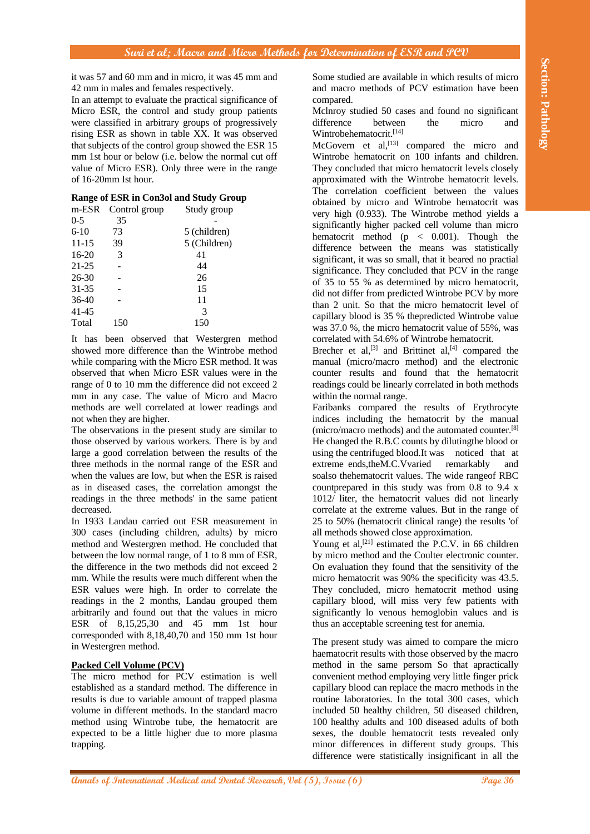it was 57 and 60 mm and in micro, it was 45 mm and 42 mm in males and females respectively.

In an attempt to evaluate the practical significance of Micro ESR, the control and study group patients were classified in arbitrary groups of progressively rising ESR as shown in table XX. It was observed that subjects of the control group showed the ESR 15 mm 1st hour or below (i.e. below the normal cut off value of Micro ESR). Only three were in the range of 16-20mm Ist hour.

## **Range of ESR in Con3ol and Study Group**

| Study group  |
|--------------|
|              |
| 5 (children) |
| 5 (Children) |
|              |
|              |
|              |
|              |
|              |
|              |
|              |
|              |

It has been observed that Westergren method showed more difference than the Wintrobe method while comparing with the Micro ESR method. It was observed that when Micro ESR values were in the range of 0 to 10 mm the difference did not exceed 2 mm in any case. The value of Micro and Macro methods are well correlated at lower readings and not when they are higher.

The observations in the present study are similar to those observed by various workers. There is by and large a good correlation between the results of the three methods in the normal range of the ESR and when the values are low, but when the ESR is raised as in diseased cases, the correlation amongst the readings in the three methods' in the same patient decreased.

In 1933 Landau carried out ESR measurement in 300 cases (including children, adults) by micro method and Westergren method. He concluded that between the low normal range, of 1 to 8 mm of ESR, the difference in the two methods did not exceed 2 mm. While the results were much different when the ESR values were high. In order to correlate the readings in the 2 months, Landau grouped them arbitrarily and found out that the values in micro ESR of 8,15,25,30 and 45 mm 1st hour corresponded with 8,18,40,70 and 150 mm 1st hour in Westergren method.

## **Packed Cell Volume (PCV)**

The micro method for PCV estimation is well established as a standard method. The difference in results is due to variable amount of trapped plasma volume in different methods. In the standard macro method using Wintrobe tube, the hematocrit are expected to be a little higher due to more plasma trapping.

Some studied are available in which results of micro and macro methods of PCV estimation have been compared.

Mclnroy studied 50 cases and found no significant difference between the micro and Wintrobehematocrit.[14]

**Annals of International and Section 1990 Annals of International Annals of International Medical Annals of International Annals of International Annals of International Annals (An ambula and The Content of Content of In** McGovern et al,<sup>[13]</sup> compared the micro and Wintrobe hematocrit on 100 infants and children. They concluded that micro hematocrit levels closely approximated with the Wintrobe hematocrit levels. The correlation coefficient between the values obtained by micro and Wintrobe hematocrit was very high (0.933). The Wintrobe method yields a significantly higher packed cell volume than micro hematocrit method  $(p \lt 0.001)$ . Though the difference between the means was statistically significant, it was so small, that it beared no practial significance. They concluded that PCV in the range of 35 to 55 % as determined by micro hematocrit, did not differ from predicted Wintrobe PCV by more than 2 unit. So that the micro hematocrit level of capillary blood is 35 % thepredicted Wintrobe value was 37.0 %, the micro hematocrit value of 55%, was correlated with 54.6% of Wintrobe hematocrit.

Brecher et al,<sup>[3]</sup> and Brittinet al,<sup>[4]</sup> compared the manual (micro/macro method) and the electronic counter results and found that the hematocrit readings could be linearly correlated in both methods within the normal range.

Faribanks compared the results of Erythrocyte indices including the hematocrit by the manual (micro/macro methods) and the automated counter.[8] He changed the R.B.C counts by dilutingthe blood or using the centrifuged blood.It was noticed that at extreme ends,theM.C.Vvaried remarkably and soalso thehematocrit values. The wide rangeof RBC countprepared in this study was from 0.8 to 9.4 x 1012/ liter, the hematocrit values did not linearly correlate at the extreme values. But in the range of 25 to 50% (hematocrit clinical range) the results 'of all methods showed close approximation.

Young et al,<sup>[21]</sup> estimated the P.C.V. in 66 children by micro method and the Coulter electronic counter. On evaluation they found that the sensitivity of the micro hematocrit was 90% the specificity was 43.5. They concluded, micro hematocrit method using capillary blood, will miss very few patients with significantly lo venous hemoglobin values and is thus an acceptable screening test for anemia.

The present study was aimed to compare the micro haematocrit results with those observed by the macro method in the same persom So that apractically convenient method employing very little finger prick capillary blood can replace the macro methods in the routine laboratories. In the total 300 cases, which included 50 healthy children, 50 diseased children, 100 healthy adults and 100 diseased adults of both sexes, the double hematocrit tests revealed only minor differences in different study groups. This difference were statistically insignificant in all the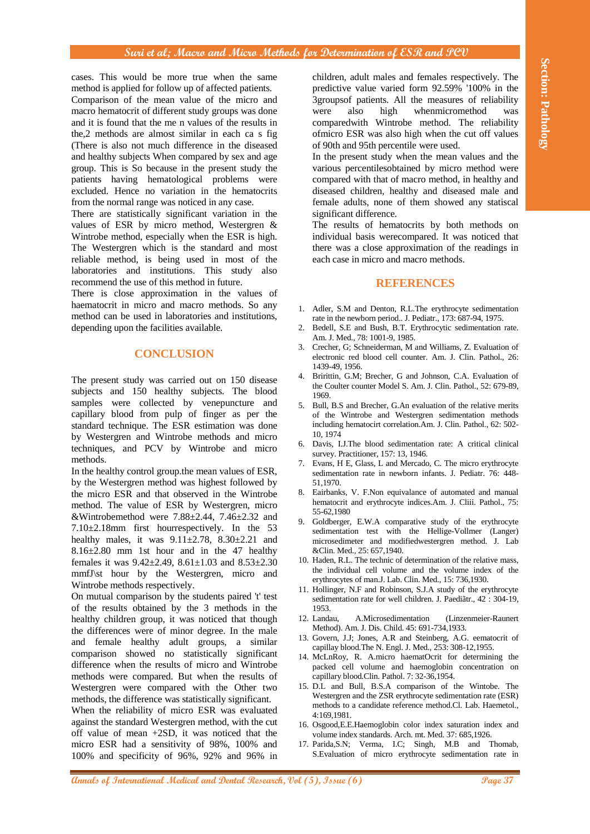**Annals This would he most tan when the same.** Comparison also makes and proposed are not the international Medical and The Comparison and The Comparison and The Comparison and The Comparison and The Comparison and The Co cases. This would be more true when the same method is applied for follow up of affected patients. Comparison of the mean value of the micro and macro hematocrit of different study groups was done and it is found that the me n values of the results in the,2 methods are almost similar in each ca s fig (There is also not much difference in the diseased and healthy subjects When compared by sex and age group. This is So because in the present study the patients having hematological problems were excluded. Hence no variation in the hematocrits from the normal range was noticed in any case.

There are statistically significant variation in the values of ESR by micro method, Westergren & Wintrobe method, especially when the ESR is high. The Westergren which is the standard and most reliable method, is being used in most of the laboratories and institutions. This study also recommend the use of this method in future.

There is close approximation in the values of haematocrit in micro and macro methods. So any method can be used in laboratories and institutions, depending upon the facilities available.

## **CONCLUSION**

The present study was carried out on 150 disease subjects and 150 healthy subjects. The blood samples were collected by venepuncture and capillary blood from pulp of finger as per the standard technique. The ESR estimation was done by Westergren and Wintrobe methods and micro techniques, and PCV by Wintrobe and micro methods.

In the healthy control group.the mean values of ESR, by the Westergren method was highest followed by the micro ESR and that observed in the Wintrobe method. The value of ESR by Westergren, micro &Wintrobemethod were  $7.88\pm2.44$ ,  $7.46\pm2.32$  and 7.10±2.18mm first hourrespectively. In the 53 healthy males, it was  $9.11 \pm 2.78$ ,  $8.30 \pm 2.21$  and  $8.16\pm2.80$  mm 1st hour and in the 47 healthy females it was 9.42±2.49, 8.61±1.03 and 8.53±2.30 mmfJ\st hour by the Westergren, micro and Wintrobe methods respectively.

On mutual comparison by the students paired 't' test of the results obtained by the 3 methods in the healthy children group, it was noticed that though the differences were of minor degree. In the male and female healthy adult groups, a similar comparison showed no statistically significant difference when the results of micro and Wintrobe methods were compared. But when the results of Westergren were compared with the Other two methods, the difference was statistically significant.

When the reliability of micro ESR was evaluated against the standard Westergren method, with the cut off value of mean +2SD, it was noticed that the micro ESR had a sensitivity of 98%, 100% and 100% and specificity of 96%, 92% and 96% in

children, adult males and females respectively. The predictive value varied form 92.59% '100% in the 3groupsof patients. All the measures of reliability were also high whenmicromethod was comparedwith Wintrobe method. The reliability ofmicro ESR was also high when the cut off values of 90th and 95th percentile were used.

In the present study when the mean values and the various percentilesobtained by micro method were compared with that of macro method, in healthy and diseased children, healthy and diseased male and female adults, none of them showed any statiscal significant difference.

The results of hematocrits by both methods on individual basis werecompared. It was noticed that there was a close approximation of the readings in each case in micro and macro methods.

#### **REFERENCES**

- 1. Adler, S.M and Denton, R.L.The erythrocyte sedimentation rate in the newborn period.. J. Pediatr., 173: 687-94, 1975.
- Bedell, S.E and Bush, B.T. Erythrocytic sedimentation rate. Am. J. Med., 78: 1001-9, 1985.
- 3. Crecher, G; Schneiderman, M and Williams, Z. Evaluation of electronic red blood cell counter. Am. J. Clin. Pathol., 26: 1439-49, 1956.
- 4. Bririttin, G.M; Brecher, G and Johnson, C.A. Evaluation of the Coulter counter Model S. Am. J. Clin. Pathol., 52: 679-89, 1969.
- 5. Bull, B.S and Brecher, G.An evaluation of the relative merits of the Wintrobe and Westergren sedimentation methods including hematocirt correlation.Am. J. Clin. Pathol., 62: 502- 10, 1974
- 6. Davis, I.J.The blood sedimentation rate: A critical clinical survey. Practitioner, 157: 13, 1946.
- 7. Evans, H E, Glass, L and Mercado, C. The micro erythrocyte sedimentation rate in newborn infants. J. Pediatr. 76: 448- 51,1970.
- 8. Eairbanks, V. F.Non equivalance of automated and manual hematocrit and erythrocyte indices.Am. J. Cliii. Pathol., 75: 55-62,1980
- Goldberger, E.W.A comparative study of the erythrocyte sedimentation test with the Hellige-Vollmer (Langer) microsedimeter and modifiedwestergren method. J. Lab &Clin. Med., 25: 657,1940.
- 10. Haden, R.L. The technic of determination of the relative mass, the individual cell volume and the volume index of the erythrocytes of man.J. Lab. Clin. Med., 15: 736,1930.
- 11. Hollinger, N.F and Robinson, S.J.A study of the erythrocyte sedimentation rate for well children. J. Paediãtr., 42 : 304-19, 1953.
- 12. Landau, A.Microsedimentation (Linzenmeier-Raunert Method). Am. J. Dis. Child. 45: 691-734,1933.
- 13. Govern, J.J; Jones, A.R and Steinberg, A.G. eematocrit of capillay blood.The N. Engl. J. Med., 253: 308-12,1955.
- 14. McLnRoy, R. A.micro haematOcrit for determining the packed cell volume and haemoglobin concentration on capillary blood.Clin. Pathol. 7: 32-36,1954.
- 15. D.L and Bull, B.S.A comparison of the Wintobe. The Westergren and the ZSR erythrocyte sedimentation rate (ESR) methods to a candidate reference method.Cl. Lab. Haemetol., 4:169,1981.
- 16. Osgood,E.E.Haemoglobin color index saturation index and volume index standards. Arch. mt. Med. 37: 685,1926.
- 17. Parida,S.N; Verma, I.C; Singh, M.B and Thomab, S.Evaluation of micro erythrocyte sedimentation rate in